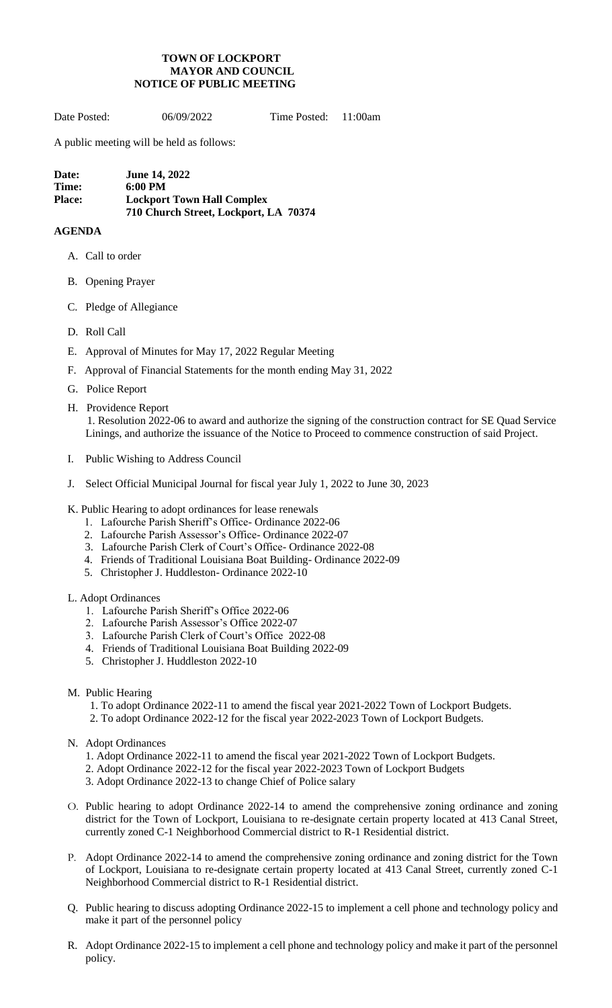## **TOWN OF LOCKPORT MAYOR AND COUNCIL NOTICE OF PUBLIC MEETING**

Date Posted: 06/09/2022 Time Posted: 11:00am

A public meeting will be held as follows:

**Date: June 14, 2022 Time: 6:00 PM Place: Lockport Town Hall Complex 710 Church Street, Lockport, LA 70374**

## **AGENDA**

- A. Call to order
- B. Opening Prayer
- C. Pledge of Allegiance
- D. Roll Call
- E. Approval of Minutes for May 17, 2022 Regular Meeting
- F. Approval of Financial Statements for the month ending May 31, 2022
- G. Police Report
- H. Providence Report 1. Resolution 2022-06 to award and authorize the signing of the construction contract for SE Quad Service Linings, and authorize the issuance of the Notice to Proceed to commence construction of said Project.
- I. Public Wishing to Address Council
- J. Select Official Municipal Journal for fiscal year July 1, 2022 to June 30, 2023
- K. Public Hearing to adopt ordinances for lease renewals
	- 1. Lafourche Parish Sheriff's Office- Ordinance 2022-06
	- 2. Lafourche Parish Assessor's Office- Ordinance 2022-07
	- 3. Lafourche Parish Clerk of Court's Office- Ordinance 2022-08
	- 4. Friends of Traditional Louisiana Boat Building- Ordinance 2022-09
	- 5. Christopher J. Huddleston- Ordinance 2022-10

## L. Adopt Ordinances

- 1. Lafourche Parish Sheriff's Office 2022-06
- 2. Lafourche Parish Assessor's Office 2022-07
- 3. Lafourche Parish Clerk of Court's Office 2022-08
- 4. Friends of Traditional Louisiana Boat Building 2022-09
- 5. Christopher J. Huddleston 2022-10
- M. Public Hearing
	- 1. To adopt Ordinance 2022-11 to amend the fiscal year 2021-2022 Town of Lockport Budgets.
	- 2. To adopt Ordinance 2022-12 for the fiscal year 2022-2023 Town of Lockport Budgets.
- N. Adopt Ordinances
	- 1. Adopt Ordinance 2022-11 to amend the fiscal year 2021-2022 Town of Lockport Budgets.
	- 2. Adopt Ordinance 2022-12 for the fiscal year 2022-2023 Town of Lockport Budgets
	- 3. Adopt Ordinance 2022-13 to change Chief of Police salary
- O. Public hearing to adopt Ordinance 2022-14 to amend the comprehensive zoning ordinance and zoning district for the Town of Lockport, Louisiana to re-designate certain property located at 413 Canal Street, currently zoned C-1 Neighborhood Commercial district to R-1 Residential district.
- P. Adopt Ordinance 2022-14 to amend the comprehensive zoning ordinance and zoning district for the Town of Lockport, Louisiana to re-designate certain property located at 413 Canal Street, currently zoned C-1 Neighborhood Commercial district to R-1 Residential district.
- Q. Public hearing to discuss adopting Ordinance 2022-15 to implement a cell phone and technology policy and make it part of the personnel policy
- R. Adopt Ordinance 2022-15 to implement a cell phone and technology policy and make it part of the personnel policy.